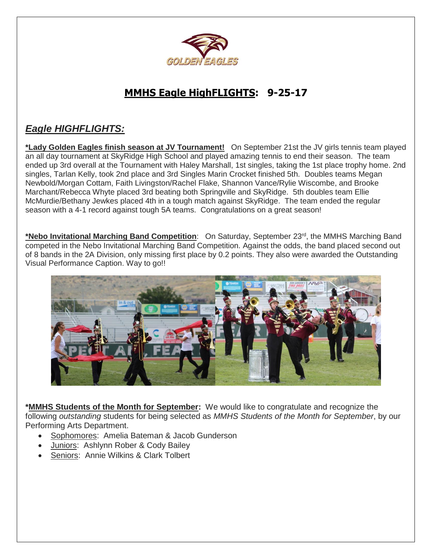

### **MMHS Eagle HighFLIGHTS: 9-25-17**

### *Eagle HIGHFLIGHTS:*

**\*Lady Golden Eagles finish season at JV Tournament!** On September 21st the JV girls tennis team played an all day tournament at SkyRidge High School and played amazing tennis to end their season. The team ended up 3rd overall at the Tournament with Haley Marshall, 1st singles, taking the 1st place trophy home. 2nd singles, Tarlan Kelly, took 2nd place and 3rd Singles Marin Crocket finished 5th. Doubles teams Megan Newbold/Morgan Cottam, Faith Livingston/Rachel Flake, Shannon Vance/Rylie Wiscombe, and Brooke Marchant/Rebecca Whyte placed 3rd beating both Springville and SkyRidge. 5th doubles team Ellie McMurdie/Bethany Jewkes placed 4th in a tough match against SkyRidge. The team ended the regular season with a 4-1 record against tough 5A teams. Congratulations on a great season!

**\*Nebo Invitational Marching Band Competition**: On Saturday, September 23rd, the MMHS Marching Band competed in the Nebo Invitational Marching Band Competition. Against the odds, the band placed second out of 8 bands in the 2A Division, only missing first place by 0.2 points. They also were awarded the Outstanding Visual Performance Caption. Way to go!!



**\*MMHS Students of the Month for September:** We would like to congratulate and recognize the following *outstanding* students for being selected as *MMHS Students of the Month for September*, by our Performing Arts Department.

- Sophomores: Amelia Bateman & Jacob Gunderson
- Juniors: Ashlynn Rober & Cody Bailey
- Seniors: Annie Wilkins & Clark Tolbert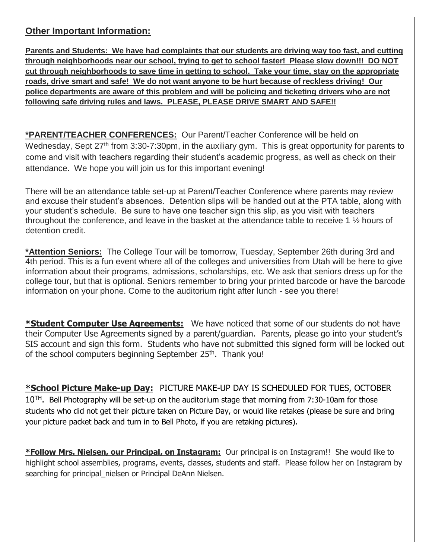#### **Other Important Information:**

**Parents and Students: We have had complaints that our students are driving way too fast, and cutting through neighborhoods near our school, trying to get to school faster! Please slow down!!! DO NOT cut through neighborhoods to save time in getting to school. Take your time, stay on the appropriate roads, drive smart and safe! We do not want anyone to be hurt because of reckless driving! Our police departments are aware of this problem and will be policing and ticketing drivers who are not following safe driving rules and laws. PLEASE, PLEASE DRIVE SMART AND SAFE!!** 

**\*PARENT/TEACHER CONFERENCES:** Our Parent/Teacher Conference will be held on Wednesday, Sept 27<sup>th</sup> from 3:30-7:30pm, in the auxiliary gym. This is great opportunity for parents to come and visit with teachers regarding their student's academic progress, as well as check on their attendance. We hope you will join us for this important evening!

There will be an attendance table set-up at Parent/Teacher Conference where parents may review and excuse their student's absences. Detention slips will be handed out at the PTA table, along with your student's schedule. Be sure to have one teacher sign this slip, as you visit with teachers throughout the conference, and leave in the basket at the attendance table to receive 1 ½ hours of detention credit.

**\*Attention Seniors:** The College Tour will be tomorrow, Tuesday, September 26th during 3rd and 4th period. This is a fun event where all of the colleges and universities from Utah will be here to give information about their programs, admissions, scholarships, etc. We ask that seniors dress up for the college tour, but that is optional. Seniors remember to bring your printed barcode or have the barcode information on your phone. Come to the auditorium right after lunch - see you there!

**\*Student Computer Use Agreements:** We have noticed that some of our students do not have their Computer Use Agreements signed by a parent/guardian. Parents, please go into your student's SIS account and sign this form. Students who have not submitted this signed form will be locked out of the school computers beginning September 25<sup>th</sup>. Thank you!

**\*School Picture Make-up Day:** PICTURE MAKE-UP DAY IS SCHEDULED FOR TUES, OCTOBER  $10^{TH}$ . Bell Photography will be set-up on the auditorium stage that morning from 7:30-10am for those students who did not get their picture taken on Picture Day, or would like retakes (please be sure and bring your picture packet back and turn in to Bell Photo, if you are retaking pictures).

**\*Follow Mrs. Nielsen, our Principal, on Instagram:** Our principal is on Instagram!! She would like to highlight school assemblies, programs, events, classes, students and staff. Please follow her on Instagram by searching for principal nielsen or Principal DeAnn Nielsen.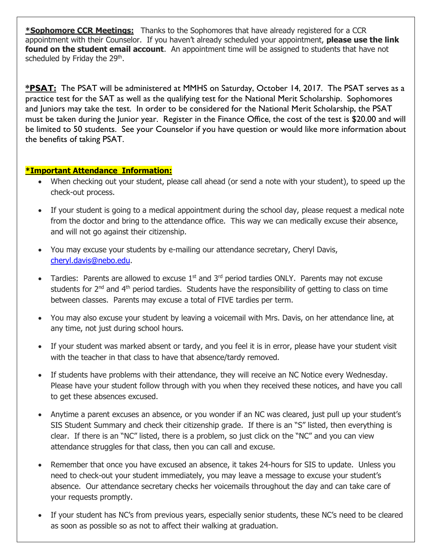**\*Sophomore CCR Meetings:** Thanks to the Sophomores that have already registered for a CCR appointment with their Counselor. If you haven't already scheduled your appointment, **please use the link found on the student email account**. An appointment time will be assigned to students that have not scheduled by Friday the 29<sup>th</sup>.

**\*PSAT:** The PSAT will be administered at MMHS on Saturday, October 14, 2017. The PSAT serves as a practice test for the SAT as well as the qualifying test for the National Merit Scholarship. Sophomores and Juniors may take the test. In order to be considered for the National Merit Scholarship, the PSAT must be taken during the Junior year. Register in the Finance Office, the cost of the test is \$20.00 and will be limited to 50 students. See your Counselor if you have question or would like more information about the benefits of taking PSAT.

#### **\*Important Attendance Information:**

- When checking out your student, please call ahead (or send a note with your student), to speed up the check-out process.
- If your student is going to a medical appointment during the school day, please request a medical note from the doctor and bring to the attendance office. This way we can medically excuse their absence, and will not go against their citizenship.
- You may excuse your students by e-mailing our attendance secretary, Cheryl Davis, [cheryl.davis@nebo.edu.](mailto:cheryl.davis@nebo.edu)
- Tardies: Parents are allowed to excuse  $1<sup>st</sup>$  and  $3<sup>rd</sup>$  period tardies ONLY. Parents may not excuse students for  $2^{nd}$  and  $4^{th}$  period tardies. Students have the responsibility of getting to class on time between classes. Parents may excuse a total of FIVE tardies per term.
- You may also excuse your student by leaving a voicemail with Mrs. Davis, on her attendance line, at any time, not just during school hours.
- If your student was marked absent or tardy, and you feel it is in error, please have your student visit with the teacher in that class to have that absence/tardy removed.
- If students have problems with their attendance, they will receive an NC Notice every Wednesday. Please have your student follow through with you when they received these notices, and have you call to get these absences excused.
- Anytime a parent excuses an absence, or you wonder if an NC was cleared, just pull up your student's SIS Student Summary and check their citizenship grade. If there is an "S" listed, then everything is clear. If there is an "NC" listed, there is a problem, so just click on the "NC" and you can view attendance struggles for that class, then you can call and excuse.
- Remember that once you have excused an absence, it takes 24-hours for SIS to update. Unless you need to check-out your student immediately, you may leave a message to excuse your student's absence. Our attendance secretary checks her voicemails throughout the day and can take care of your requests promptly.
- If your student has NC's from previous years, especially senior students, these NC's need to be cleared as soon as possible so as not to affect their walking at graduation.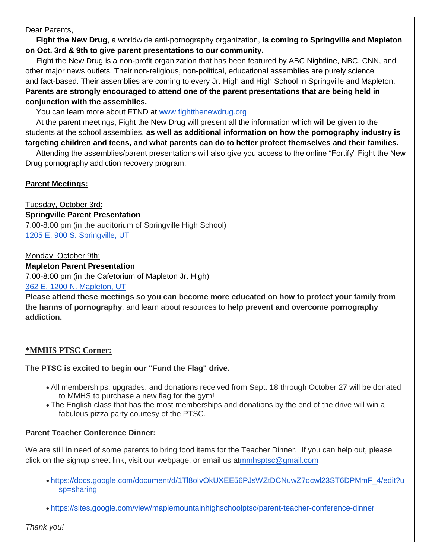Dear Parents,

 **Fight the New Drug**, a worldwide anti-pornography organization, **is coming to Springville and Mapleton on Oct. 3rd & 9th to give parent presentations to our community.** 

 Fight the New Drug is a non-profit organization that has been featured by ABC Nightline, NBC, CNN, and other major news outlets. Their non-religious, non-political, educational assemblies are purely science and fact-based. Their assemblies are coming to every Jr. High and High School in Springville and Mapleton. **Parents are strongly encouraged to attend one of the parent presentations that are being held in conjunction with the assemblies.**

You can learn more about FTND at [www.fightthenewdrug.org](http://www.fightthenewdrug.org/)

 At the parent meetings, Fight the New Drug will present all the information which will be given to the students at the school assemblies, **as well as additional information on how the pornography industry is targeting children and teens, and what parents can do to better protect themselves and their families.** 

 Attending the assemblies/parent presentations will also give you access to the online "Fortify" Fight the New Drug pornography addiction recovery program.

#### **Parent Meetings:**

Tuesday, October 3rd: **Springville Parent Presentation** 7:00-8:00 pm (in the auditorium of Springville High School) [1205 E. 900 S. Springville, UT](https://maps.google.com/?q=1205+E.+900+S.+Springville,+UT&entry=gmail&source=g)

Monday, October 9th: **Mapleton Parent Presentation** 7:00-8:00 pm (in the Cafetorium of Mapleton Jr. High) [362 E. 1200 N. Mapleton, UT](https://maps.google.com/?q=362+E.+1200+N.+Mapleton,+UT&entry=gmail&source=g)

**Please attend these meetings so you can become more educated on how to protect your family from the harms of pornography**, and learn about resources to **help prevent and overcome pornography addiction.**

#### **\*MMHS PTSC Corner:**

#### **The PTSC is excited to begin our "Fund the Flag" drive.**

- All memberships, upgrades, and donations received from Sept. 18 through October 27 will be donated to MMHS to purchase a new flag for the gym!
- The English class that has the most memberships and donations by the end of the drive will win a fabulous pizza party courtesy of the PTSC.

#### **Parent Teacher Conference Dinner:**

We are still in need of some parents to bring food items for the Teacher Dinner. If you can help out, please click on the signup sheet link, visit our webpage, or email us a[tmmhsptsc@gmail.com](mailto:mmhsptsc@gmail.com)

- [https://docs.google.com/document/d/1Tl8oIvOkUXEE56PJsWZtDCNuwZ7qcwl23ST6DPMmF\\_4/edit?u](https://docs.google.com/document/d/1Tl8oIvOkUXEE56PJsWZtDCNuwZ7qcwl23ST6DPMmF_4/edit?usp=sharing) [sp=sharing](https://docs.google.com/document/d/1Tl8oIvOkUXEE56PJsWZtDCNuwZ7qcwl23ST6DPMmF_4/edit?usp=sharing)
- <https://sites.google.com/view/maplemountainhighschoolptsc/parent-teacher-conference-dinner>

*Thank you!*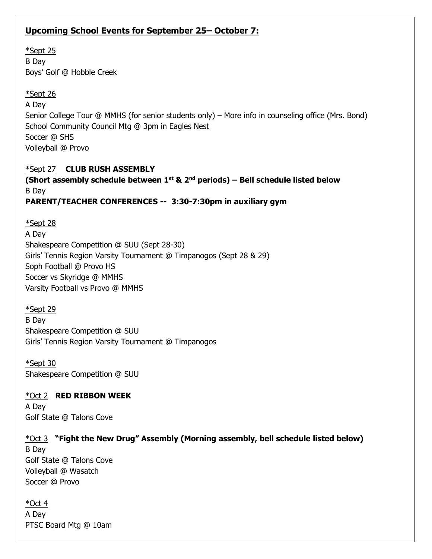#### **Upcoming School Events for September 25– October 7:**

\*Sept 25 B Day Boys' Golf @ Hobble Creek

#### \*Sept 26 A Day Senior College Tour @ MMHS (for senior students only) – More info in counseling office (Mrs. Bond) School Community Council Mtg @ 3pm in Eagles Nest Soccer @ SHS Volleyball @ Provo

#### \*Sept 27 **CLUB RUSH ASSEMBLY**

**(Short assembly schedule between 1st & 2nd periods) – Bell schedule listed below** B Day **PARENT/TEACHER CONFERENCES -- 3:30-7:30pm in auxiliary gym**

\*Sept 28 A Day Shakespeare Competition @ SUU (Sept 28-30) Girls' Tennis Region Varsity Tournament @ Timpanogos (Sept 28 & 29) Soph Football @ Provo HS Soccer vs Skyridge @ MMHS Varsity Football vs Provo @ MMHS

\*Sept 29 B Day Shakespeare Competition @ SUU Girls' Tennis Region Varsity Tournament @ Timpanogos

\*Sept 30 Shakespeare Competition @ SUU

#### \*Oct 2 **RED RIBBON WEEK**

A Day Golf State @ Talons Cove

#### \*Oct 3 **"Fight the New Drug" Assembly (Morning assembly, bell schedule listed below)**

B Day Golf State @ Talons Cove Volleyball @ Wasatch Soccer @ Provo

\*Oct 4 A Day PTSC Board Mtg @ 10am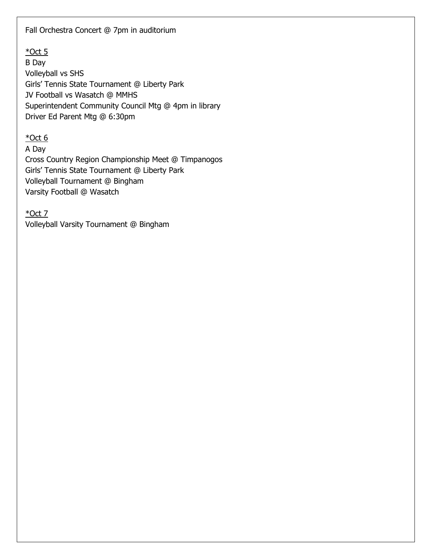Fall Orchestra Concert @ 7pm in auditorium

 $*$ Oct 5

B Day Volleyball vs SHS Girls' Tennis State Tournament @ Liberty Park JV Football vs Wasatch @ MMHS Superintendent Community Council Mtg @ 4pm in library Driver Ed Parent Mtg @ 6:30pm

 $*$ Oct 6

A Day

Cross Country Region Championship Meet @ Timpanogos Girls' Tennis State Tournament @ Liberty Park Volleyball Tournament @ Bingham Varsity Football @ Wasatch

\*Oct 7

Volleyball Varsity Tournament @ Bingham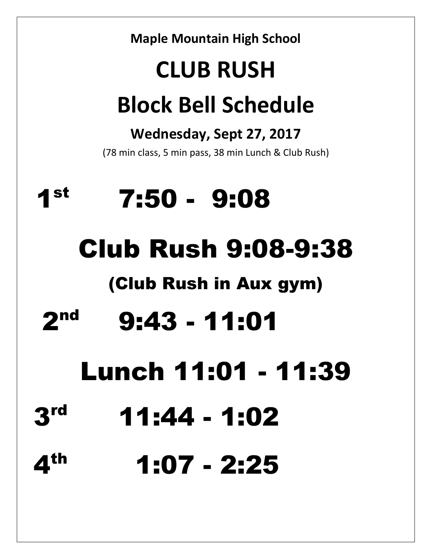**Maple Mountain High School CLUB RUSH Block Bell Schedule Wednesday, Sept 27, 2017** (78 min class, 5 min pass, 38 min Lunch & Club Rush) 1 st 7:50 - 9:08 Club Rush 9:08-9:38 (Club Rush in Aux gym) 2 nd 9:43 - 11:01 Lunch 11:01 - 11:39 3 rd 11:44 - 1:02 4<sup>th</sup> 1:07 - 2:25